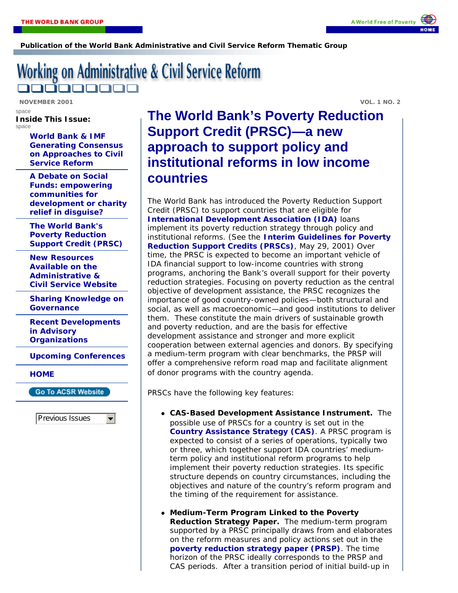**Publication of the World Bank Administrative and Civil Service Reform Thematic Group**

## Working on Administrative & Civil Service Reform 100000

**NOVEMBER 2001 VOL. 1 NO. 2** 

space

**Inside This Issue:** space

> **World Bank & IMF Generating Consensus on Approaches to Civil Service Reform**

**A Debate on Social Funds: empowering communities for development or charity relief in disguise?** 

**The World Bank's Poverty Reduction Support Credit (PRSC)**

**New Resources Available on the Administrative & Civil Service Website**

**Sharing Knowledge on Governance** 

**Recent Developments in Advisory Organizations**

**Upcoming Conferences**

**HOME**

**Go To ACSR Website** 

Previous Issues

 $\blacktriangledown$ 

## **The World Bank's Poverty Reduction Support Credit (PRSC)—a new approach to support policy and institutional reforms in low income countries**

The World Bank has introduced the Poverty Reduction Support Credit (PRSC) to support countries that are eligible for **International Development Association (IDA)** loans implement its poverty reduction strategy through policy and institutional reforms. (See the **Interim Guidelines for Poverty Reduction Support Credits (PRSCs)**, May 29, 2001) Over time, the PRSC is expected to become an important vehicle of IDA financial support to low-income countries with strong programs, anchoring the Bank's overall support for their poverty reduction strategies. Focusing on poverty reduction as the central objective of development assistance, the PRSC recognizes the importance of good country-owned policies—both structural and social, as well as macroeconomic—and good institutions to deliver them. These constitute the main drivers of sustainable growth and poverty reduction, and are the basis for effective development assistance and stronger and more explicit cooperation between external agencies and donors. By specifying a medium-term program with clear benchmarks, the PRSP will offer a comprehensive reform road map and facilitate alignment of donor programs with the country agenda.

PRSCs have the following key features:

- ! *CAS-Based Development Assistance Instrument***.** The possible use of PRSCs for a country is set out in the **Country Assistance Strategy (CAS)**. A PRSC program is expected to consist of a series of operations, typically two or three, which together support IDA countries' mediumterm policy and institutional reform programs to help implement their poverty reduction strategies. Its specific structure depends on country circumstances, including the objectives and nature of the country's reform program and the timing of the requirement for assistance.
- ! *Medium-Term Program Linked to the Poverty Reduction Strategy Paper.* The medium-term program supported by a PRSC principally draws from and elaborates on the reform measures and policy actions set out in the **poverty reduction strategy paper (PRSP)**. The time horizon of the PRSC ideally corresponds to the PRSP and CAS periods. After a transition period of initial build-up in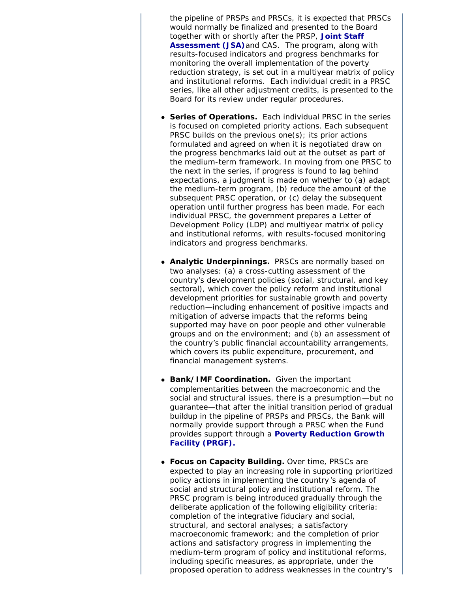the pipeline of PRSPs and PRSCs, it is expected that PRSCs would normally be finalized and presented to the Board together with or shortly after the PRSP, **Joint Staff Assessment (JSA)**and CAS. The program, along with results-focused indicators and progress benchmarks for monitoring the overall implementation of the poverty reduction strategy, is set out in a multiyear matrix of policy and institutional reforms. Each individual credit in a PRSC series, like all other adjustment credits, is presented to the Board for its review under regular procedures.

- **Series of Operations.** Each individual PRSC in the series is focused on completed priority actions. Each subsequent PRSC builds on the previous one(s); its prior actions formulated and agreed on when it is negotiated draw on the progress benchmarks laid out at the outset as part of the medium-term framework. In moving from one PRSC to the next in the series, if progress is found to lag behind expectations, a judgment is made on whether to (a) adapt the medium-term program, (b) reduce the amount of the subsequent PRSC operation, or (c) delay the subsequent operation until further progress has been made. For each individual PRSC, the government prepares a Letter of Development Policy (LDP) and multiyear matrix of policy and institutional reforms, with results-focused monitoring indicators and progress benchmarks.
- ! *Analytic Underpinnings.* PRSCs are normally based on two analyses: (a) a cross-cutting assessment of the country's development policies (social, structural, and key sectoral), which cover the policy reform and institutional development priorities for sustainable growth and poverty reduction—including enhancement of positive impacts and mitigation of adverse impacts that the reforms being supported may have on poor people and other vulnerable groups and on the environment; and (b) an assessment of the country's public financial accountability arrangements, which covers its public expenditure, procurement, and financial management systems.
- ! *Bank/IMF Coordination.* Given the important complementarities between the macroeconomic and the social and structural issues, there is a presumption—but no guarantee—that after the initial transition period of gradual buildup in the pipeline of PRSPs and PRSCs, the Bank will normally provide support through a PRSC when the Fund provides support through a **Poverty Reduction Growth Facility (PRGF).**
- *Focus on Capacity Building.* Over time, PRSCs are expected to play an increasing role in supporting prioritized policy actions in implementing the country 's agenda of social and structural policy and institutional reform. The PRSC program is being introduced gradually through the deliberate application of the following eligibility criteria: completion of the integrative fiduciary and social, structural, and sectoral analyses; a satisfactory macroeconomic framework; and the completion of prior actions and satisfactory progress in implementing the medium-term program of policy and institutional reforms, including specific measures, as appropriate, under the proposed operation to address weaknesses in the country's